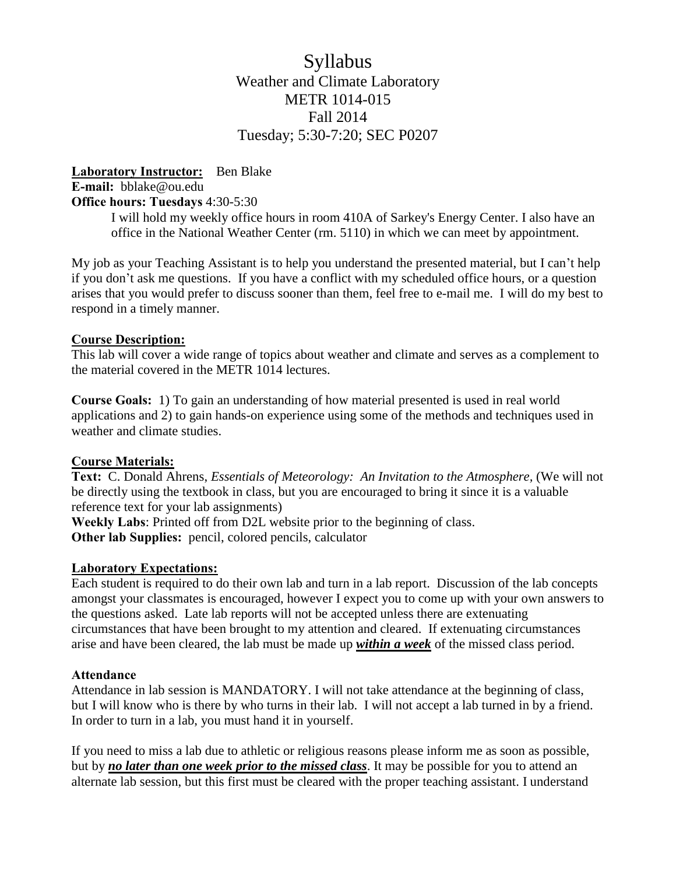# Syllabus Weather and Climate Laboratory METR 1014-015 Fall 2014 Tuesday; 5:30-7:20; SEC P0207

#### **Laboratory Instructor:** Ben Blake **E-mail:** bblake@ou.edu **Office hours: Tuesdays** 4:30-5:30

I will hold my weekly office hours in room 410A of Sarkey's Energy Center. I also have an office in the National Weather Center (rm. 5110) in which we can meet by appointment.

My job as your Teaching Assistant is to help you understand the presented material, but I can't help if you don't ask me questions. If you have a conflict with my scheduled office hours, or a question arises that you would prefer to discuss sooner than them, feel free to e-mail me. I will do my best to respond in a timely manner.

## **Course Description:**

This lab will cover a wide range of topics about weather and climate and serves as a complement to the material covered in the METR 1014 lectures.

**Course Goals:** 1) To gain an understanding of how material presented is used in real world applications and 2) to gain hands-on experience using some of the methods and techniques used in weather and climate studies.

# **Course Materials:**

**Text:** C. Donald Ahrens, *Essentials of Meteorology: An Invitation to the Atmosphere,* (We will not be directly using the textbook in class, but you are encouraged to bring it since it is a valuable reference text for your lab assignments)

**Weekly Labs**: Printed off from D2L website prior to the beginning of class. **Other lab Supplies:** pencil, colored pencils, calculator

#### **Laboratory Expectations:**

Each student is required to do their own lab and turn in a lab report. Discussion of the lab concepts amongst your classmates is encouraged, however I expect you to come up with your own answers to the questions asked. Late lab reports will not be accepted unless there are extenuating circumstances that have been brought to my attention and cleared. If extenuating circumstances arise and have been cleared, the lab must be made up *within a week* of the missed class period.

#### **Attendance**

Attendance in lab session is MANDATORY. I will not take attendance at the beginning of class, but I will know who is there by who turns in their lab. I will not accept a lab turned in by a friend. In order to turn in a lab, you must hand it in yourself.

If you need to miss a lab due to athletic or religious reasons please inform me as soon as possible, but by *no later than one week prior to the missed class*. It may be possible for you to attend an alternate lab session, but this first must be cleared with the proper teaching assistant. I understand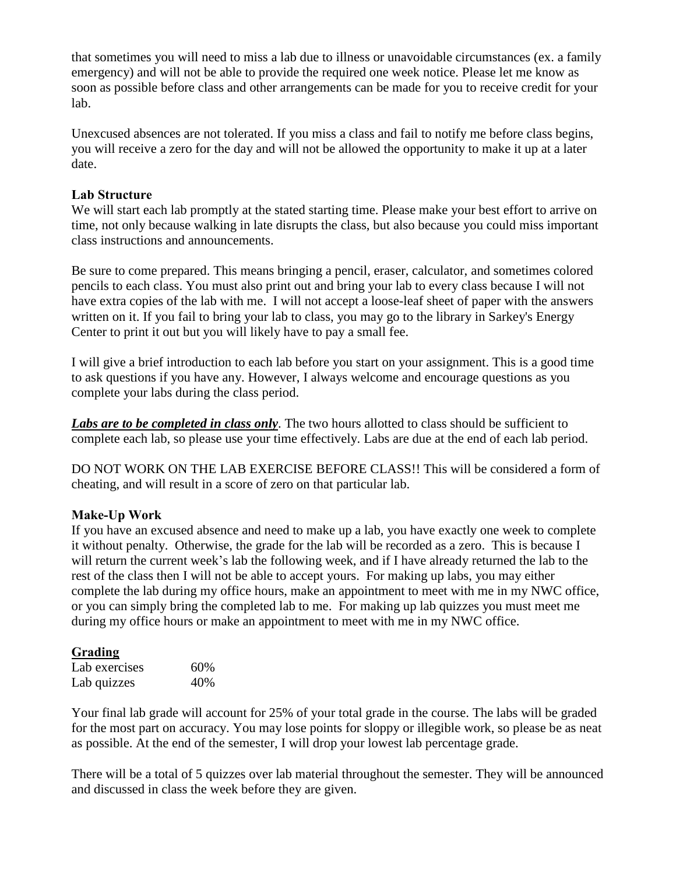that sometimes you will need to miss a lab due to illness or unavoidable circumstances (ex. a family emergency) and will not be able to provide the required one week notice. Please let me know as soon as possible before class and other arrangements can be made for you to receive credit for your lab.

Unexcused absences are not tolerated. If you miss a class and fail to notify me before class begins, you will receive a zero for the day and will not be allowed the opportunity to make it up at a later date.

## **Lab Structure**

We will start each lab promptly at the stated starting time. Please make your best effort to arrive on time, not only because walking in late disrupts the class, but also because you could miss important class instructions and announcements.

Be sure to come prepared. This means bringing a pencil, eraser, calculator, and sometimes colored pencils to each class. You must also print out and bring your lab to every class because I will not have extra copies of the lab with me. I will not accept a loose-leaf sheet of paper with the answers written on it. If you fail to bring your lab to class, you may go to the library in Sarkey's Energy Center to print it out but you will likely have to pay a small fee.

I will give a brief introduction to each lab before you start on your assignment. This is a good time to ask questions if you have any. However, I always welcome and encourage questions as you complete your labs during the class period.

*Labs are to be completed in class only*. The two hours allotted to class should be sufficient to complete each lab, so please use your time effectively. Labs are due at the end of each lab period.

DO NOT WORK ON THE LAB EXERCISE BEFORE CLASS!! This will be considered a form of cheating, and will result in a score of zero on that particular lab.

# **Make-Up Work**

If you have an excused absence and need to make up a lab, you have exactly one week to complete it without penalty. Otherwise, the grade for the lab will be recorded as a zero. This is because I will return the current week's lab the following week, and if I have already returned the lab to the rest of the class then I will not be able to accept yours. For making up labs, you may either complete the lab during my office hours, make an appointment to meet with me in my NWC office, or you can simply bring the completed lab to me. For making up lab quizzes you must meet me during my office hours or make an appointment to meet with me in my NWC office.

# **Grading**

| Lab exercises | 60% |
|---------------|-----|
| Lab quizzes   | 40% |

Your final lab grade will account for 25% of your total grade in the course. The labs will be graded for the most part on accuracy. You may lose points for sloppy or illegible work, so please be as neat as possible. At the end of the semester, I will drop your lowest lab percentage grade.

There will be a total of 5 quizzes over lab material throughout the semester. They will be announced and discussed in class the week before they are given.